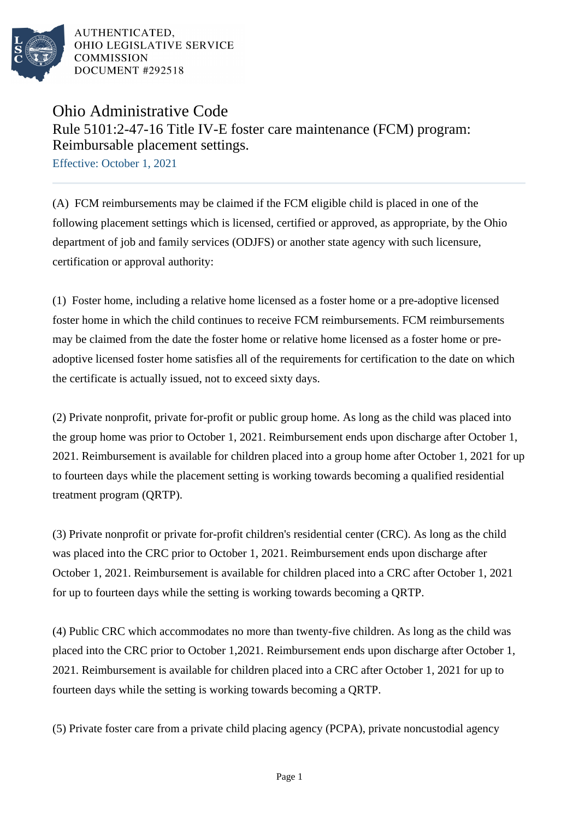

AUTHENTICATED. OHIO LEGISLATIVE SERVICE **COMMISSION** DOCUMENT #292518

## Ohio Administrative Code Rule 5101:2-47-16 Title IV-E foster care maintenance (FCM) program: Reimbursable placement settings.

Effective: October 1, 2021

(A) FCM reimbursements may be claimed if the FCM eligible child is placed in one of the following placement settings which is licensed, certified or approved, as appropriate, by the Ohio department of job and family services (ODJFS) or another state agency with such licensure, certification or approval authority:

(1) Foster home, including a relative home licensed as a foster home or a pre-adoptive licensed foster home in which the child continues to receive FCM reimbursements. FCM reimbursements may be claimed from the date the foster home or relative home licensed as a foster home or preadoptive licensed foster home satisfies all of the requirements for certification to the date on which the certificate is actually issued, not to exceed sixty days.

(2) Private nonprofit, private for-profit or public group home. As long as the child was placed into the group home was prior to October 1, 2021. Reimbursement ends upon discharge after October 1, 2021. Reimbursement is available for children placed into a group home after October 1, 2021 for up to fourteen days while the placement setting is working towards becoming a qualified residential treatment program (QRTP).

(3) Private nonprofit or private for-profit children's residential center (CRC). As long as the child was placed into the CRC prior to October 1, 2021. Reimbursement ends upon discharge after October 1, 2021. Reimbursement is available for children placed into a CRC after October 1, 2021 for up to fourteen days while the setting is working towards becoming a QRTP.

(4) Public CRC which accommodates no more than twenty-five children. As long as the child was placed into the CRC prior to October 1,2021. Reimbursement ends upon discharge after October 1, 2021. Reimbursement is available for children placed into a CRC after October 1, 2021 for up to fourteen days while the setting is working towards becoming a QRTP.

(5) Private foster care from a private child placing agency (PCPA), private noncustodial agency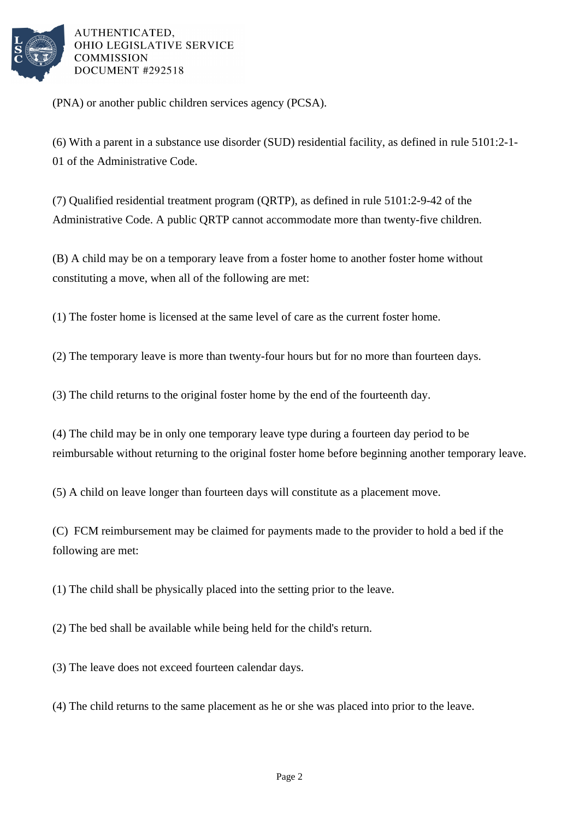

AUTHENTICATED, OHIO LEGISLATIVE SERVICE **COMMISSION** DOCUMENT #292518

(PNA) or another public children services agency (PCSA).

(6) With a parent in a substance use disorder (SUD) residential facility, as defined in rule 5101:2-1- 01 of the Administrative Code.

(7) Qualified residential treatment program (QRTP), as defined in rule 5101:2-9-42 of the Administrative Code. A public QRTP cannot accommodate more than twenty-five children.

(B) A child may be on a temporary leave from a foster home to another foster home without constituting a move, when all of the following are met:

(1) The foster home is licensed at the same level of care as the current foster home.

(2) The temporary leave is more than twenty-four hours but for no more than fourteen days.

(3) The child returns to the original foster home by the end of the fourteenth day.

(4) The child may be in only one temporary leave type during a fourteen day period to be reimbursable without returning to the original foster home before beginning another temporary leave.

(5) A child on leave longer than fourteen days will constitute as a placement move.

(C) FCM reimbursement may be claimed for payments made to the provider to hold a bed if the following are met:

(1) The child shall be physically placed into the setting prior to the leave.

(2) The bed shall be available while being held for the child's return.

(3) The leave does not exceed fourteen calendar days.

(4) The child returns to the same placement as he or she was placed into prior to the leave.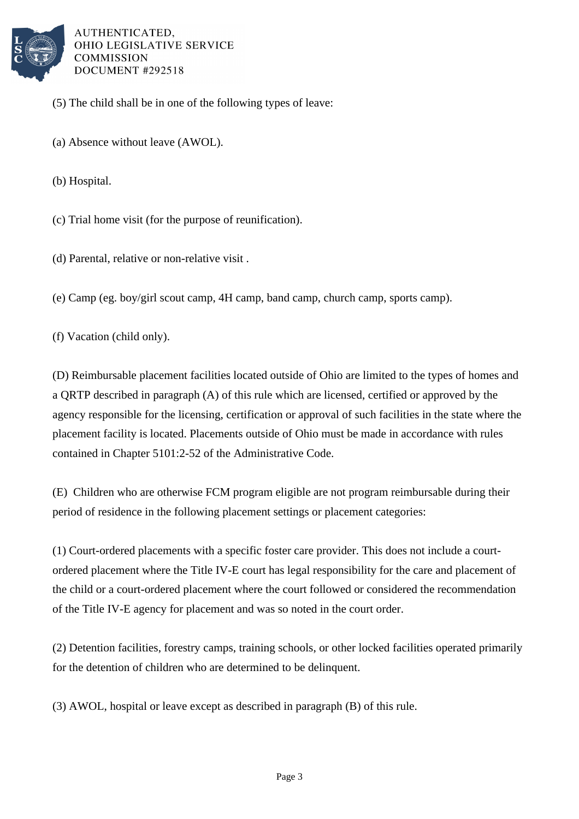

AUTHENTICATED. OHIO LEGISLATIVE SERVICE **COMMISSION** DOCUMENT #292518

- (5) The child shall be in one of the following types of leave:
- (a) Absence without leave (AWOL).

(b) Hospital.

(c) Trial home visit (for the purpose of reunification).

(d) Parental, relative or non-relative visit .

(e) Camp (eg. boy/girl scout camp, 4H camp, band camp, church camp, sports camp).

(f) Vacation (child only).

(D) Reimbursable placement facilities located outside of Ohio are limited to the types of homes and a QRTP described in paragraph (A) of this rule which are licensed, certified or approved by the agency responsible for the licensing, certification or approval of such facilities in the state where the placement facility is located. Placements outside of Ohio must be made in accordance with rules contained in Chapter 5101:2-52 of the Administrative Code.

(E) Children who are otherwise FCM program eligible are not program reimbursable during their period of residence in the following placement settings or placement categories:

(1) Court-ordered placements with a specific foster care provider. This does not include a courtordered placement where the Title IV-E court has legal responsibility for the care and placement of the child or a court-ordered placement where the court followed or considered the recommendation of the Title IV-E agency for placement and was so noted in the court order.

(2) Detention facilities, forestry camps, training schools, or other locked facilities operated primarily for the detention of children who are determined to be delinquent.

(3) AWOL, hospital or leave except as described in paragraph (B) of this rule.